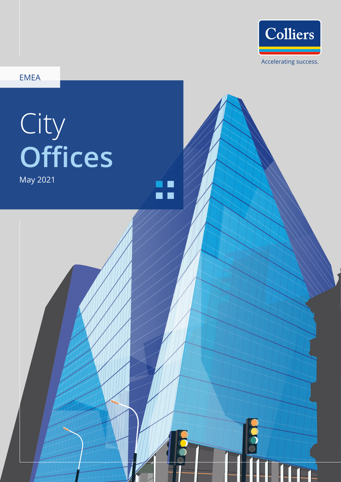

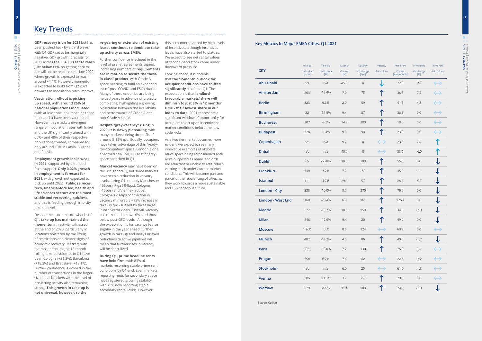**GDP recovery is on for 2021** but has been pushed back by a third wave, with Q1 GDP set to be marginally negative. GDP growth forecasts for 2021 across **the EEA30 is set to reach just below +1%**, so getting back to par will not be reached until late 2022, where growth is expected to reach around +4.4%. However, momentum is expected to build from Q2 2021 onwards as inoculation rates improve.

**Vaccination roll-out is picking up speed, with around 25% of national populations inoculated** (with at least one jab), meaning those most at risk have been vaccinated. However, this masks a divergent range of inoculation rates with Israel and the UK significantly ahead with 60%+ and 48% of their respective populations treated, compared to only around 10% in Latvia, Bulgaria and Russia.

**Employment growth looks weak in 2021**, supported by extended fiscal support. **Only 0.02% growth in employment is forecast for 2021**, with growth not expected to pick up until 2022. **Public services, tech, financial-focused, health and life sciences sectors are the most stable and recovering quickest**, and this is feeding through into city take-up levels.

Despite the economic drawbacks of Q1, **take-up has maintained the momentum** in activity witnessed at the end of 2020, particularly in locations bolstered by the lifting of restrictions and clearer signs of economic recovery. Markets with the most encouraging 12-month rolling take-up volumes in Q1 have been Cologne (+21.3%), Barcelona (+18.3%) and Bratislava (+18.1%). Further confidence is echoed in the number of transactions in the largersized deal brackets with the level of pre-letting activity also remaining strong. **This growth in take-up is not universal, however, so the** 

**re-gearing or extension of existing leases continues to dominate takeup activity across EMEA.** 

Further confidence is echoed in the level of pre-let agreements signed. Increasing numbers of **requirements are in motion to secure the "bestin-class" product**, with Grade A space needing to fulfil an expanded list of 'post-COVID' and ESG criteria. Many of these enquiries are being fielded years in advance of projects completing, highlighting a growing bifurcation between the availability and performance of Grade A and non-Grade A space.

**Despite "grey-vacancy" rising in 2020, it is slowly plateauing**, with many markets seeing drop-offs of around 5-15% q/q. Equally, occupiers have taken advantage of this "readyfor-occupation" space. London alone absorbed saw 150,000 sq ft of greyspace absorbed in Q1.

**Market vacancy** may have been on the rise generally, but some markets have seen a reduction in vacancy levels during Q1, notably Manchester (-66bps), Riga (-94bps), Cologne (-16bps) and Vienna (-30bps). Cologne's -16bps contraction in vacancy mirrored a +13% increase in take-up q/q - fuelled by three large Public Sector deals. Overall, vacancy has remained below 10%, and thus below post-GFC levels. Although the expectation is for vacancy to rise slightly in the year ahead, further growth in take-up and delays or even reductions to active pipelines will mean that further rises in vacancy will be short-lived.

**During Q1, prime headline rents have held firm**, with 83% of markets recording stable prime rent conditions by Q1-end. Even markets reporting rents for secondary space have registered growing stability, with 79% now reporting stable secondary rental levels. However,

this is counterbalanced by high levels of incentives, although incentives levels have also started to plateau. We expect to see net rental values of second-hand stock come under downward pressure.

Looking ahead, it is notable that **the 12-month outlook for occupier conditions have shifted significantly** as of end-Q1. The expectation is that **landlordfavourable markets' share will diminish to just 8% in 12 months' time - their lowest share in our index to date.** 2021 represents a significant window of opportunity for occupiers to act upon incentivised market conditions before the new cycle kicks.

As a two-tier market becomes more evident, we expect to see many innovative examples of obsolete office space being re-positioned and/ or re-purposed as many landlords are reluctant or unable to refit/refurb existing stock under current market conditions. This will become part and parcel of the rebalancing of cities, as they work towards a more sustainable and ESG conscious future.

# **Key Trends**

### **Key Metrics In Major EMEA Cities: Q1 2021**

Source: Colliers

|                          | Take-up               | Take-up           | Vacancy        | Vacancy            | Vacancy           | Prime rent                                                                                                                                                                  | Prime rent       | Prime rent        |
|--------------------------|-----------------------|-------------------|----------------|--------------------|-------------------|-----------------------------------------------------------------------------------------------------------------------------------------------------------------------------|------------------|-------------------|
| <b>CITY</b>              | 12M rolling<br>[sq m] | 12M change<br>[%] | Current<br>[%] | 6M change<br>[bps] | 6M outlook        | Current<br>$[\text{\ensuremath{\mathsf{f}}\xspace}/\text{\ensuremath{\mathsf{sq}}}\xspace\text{\textsf{m}}/\text{\ensuremath{\mathsf{m}}}\xspace\text{\textsf{th}}\xspace]$ | 6M change<br>[%] | 6M outlook        |
| <b>Abu Dhabi</b>         | n/a                   | n/a               | 45.0           | $\overline{0}$     |                   | 22.0                                                                                                                                                                        | $-3.7$           |                   |
| Amsterdam                | 203                   | $-12.4%$          | 7.0            | 78                 |                   | 38.8                                                                                                                                                                        | 7.5              |                   |
| <b>Berlin</b>            | 823                   | 9.6%              | 2.0            | 59                 |                   | 41.8                                                                                                                                                                        | 4.8              |                   |
| <b>Birmingham</b>        | 22                    | $-55.5%$          | 9.4            | 87                 |                   | 36.3                                                                                                                                                                        | 0.0              |                   |
| <b>Bucharest</b>         | 207                   | $-3.3%$           | 14.3           | 300                |                   | 18.0                                                                                                                                                                        | 0.0              |                   |
| <b>Budapest</b>          | 328                   | $-1.4%$           | 9.0            | 90                 |                   | 23.0                                                                                                                                                                        | 0.0              |                   |
| Copenhagen               | n/a                   | n/a               | 9.2            | $\overline{0}$     | $\leftrightarrow$ | 23.5                                                                                                                                                                        | 2.4              |                   |
| <b>Dubai</b>             | n/a                   | n/a               | 40.0           | $\overline{0}$     | $\leftrightarrow$ | 33.6                                                                                                                                                                        | $-6.0$           |                   |
| <b>Dublin</b>            | 65                    | $-60.8%$          | 10.5           | 200                |                   | 55.8                                                                                                                                                                        | 0.0              |                   |
| Frankfurt                | 340                   | 3.2%              | 7.2            | $-50$              |                   | 45.0                                                                                                                                                                        | $-1.1$           |                   |
| Istanbul                 | 111                   | 4.7%              | 29.9           | 57                 |                   | 28.1                                                                                                                                                                        | $-5.7$           |                   |
| <b>London - City</b>     | 238                   | $-10.0%$          | 8.7            | 270                |                   | 76.2                                                                                                                                                                        | 0.0              |                   |
| <b>London - West End</b> | 160                   | $-25.4%$          | 6.9            | 161                |                   | 126.1                                                                                                                                                                       | 0.0              |                   |
| <b>Madrid</b>            | 272                   | $-13.7%$          | 10.5           | 150                |                   | 34.0                                                                                                                                                                        | $-2.9$           |                   |
| <b>Milan</b>             | 246                   | $-12.9%$          | 9.4            | 20                 |                   | 49.2                                                                                                                                                                        | 0.0              |                   |
| <b>Moscow</b>            | 1,260                 | 1.4%              | 8.5            | 124                | $\leftrightarrow$ | 63.9                                                                                                                                                                        | 0.0              |                   |
| <b>Munich</b>            | 482                   | $-14.2%$          | 4.0            | 86                 |                   | 40.0                                                                                                                                                                        | $-1.2$           |                   |
| <b>Paris</b>             | 1,051                 | $-13.0%$          | $7.7\,$        | 130                | ↑                 | 75.0                                                                                                                                                                        | 3.4              | $\leftrightarrow$ |
| Prague                   | 354                   | 6.2%              | 7.6            | 62                 | $\leftrightarrow$ | 22.5                                                                                                                                                                        | $-2.2$           | $\leftrightarrow$ |
| Stockholm                | n/a                   | n/a               | 6.0            | 25                 | $\leftrightarrow$ | 61.0                                                                                                                                                                        | $-1.3$           | $\leftrightarrow$ |
| <b>Vienna</b>            | 205                   | 13.3%             | 3.9            | $-50$              |                   | 28.0                                                                                                                                                                        | 0.0              | $\leftrightarrow$ |
| <b>Warsaw</b>            | 579                   | $-4.9%$           | 11.4           | 180                |                   | 24.5                                                                                                                                                                        | $-2.0$           |                   |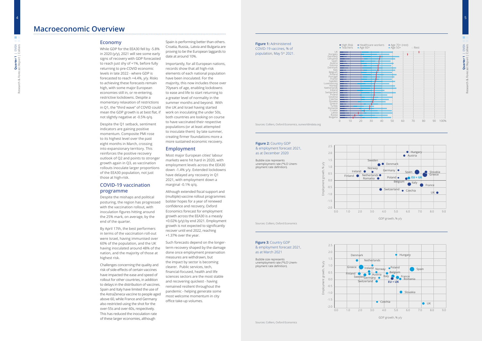**Figure 1:** Administered COVID-19 vaccines, % of population, May 5<sup>th</sup> 2021.

Sources: Colliers, Oxford Economics, ourworldindata.org

Sources: Colliers, Oxford Economics

4

### **Figure 2:** Country GDP & employment forecast 2021, as at December 2020

### **Figure 3:** Country GDP & employment forecast 2021, as at March 2021



Bubble size represents unemployment rate (\*ILO Unemployment rate definition).

Employment growth, % y/y

GDP growth, % y/y





Bubble size represents unemployment rate (\*ILO Unemployment rate definition).

### **Economy**

While GDP for the EEA30 fell by -5.8% in 2020 (y/y), 2021 will see some early signs of recovery with GDP forecasted to reach just shy of +1%, before fully returning to pre-COVID economic levels in late 2022 - where GDP is forecasted to reach +4.4%, y/y. Risks to achieving these forecasts remain high, with some major European economies still in, or re-entering, restrictive lockdowns. Despite a momentary relaxation of restrictions in Q1, the "third wave" of COVID could mean the GDP growth is at best flat, if not slightly negative at -0.5% q/q.

Despite the Q1 setback, sentiment indicators are gaining positive momentum. Composite PMI rose to its highest level over the past eight months in March, crossing into expansionary territory. This reinforces the positive recovery outlook of Q2 and points to stronger growth again in Q3, as vaccination rollouts inoculate larger proportions of the EEA30 population, not just those at high-risk.

## **COVID-19 vaccination programme**

Despite the mishaps and political posturing, the region has progressed with the vaccination rollout, with inoculation figures hitting around the 25% mark, on average, by the end of the quarter.

By April 17th, the best performers in terms of the vaccination roll-out were Israel, having immunised over 60% of the population, and the UK having inoculated around 48% of the nation, and the majority of those at highest risk.

Challenges concerning the quality and risk of side-effects of certain vaccines have impacted the ease and speed of rollout for other countries, in addition to delays in the distribution of vaccines. Spain and Italy have limited the use of the AstraZeneca vaccine to people aged above 60, while France and Germany also restricted using the shot for the over-55s and over-60s, respectively. This has reduced the inoculation rate of these larger economies, although

Spain is performing better than others. Croatia, Russia,. Latvia and Bulgaria are proving to be the European laggards to date at around 10%.

Importantly, for all European nations, records show that all high-risk elements of each national population have been inoculated. For the majority, this now includes those over 70years of age, enabling lockdowns to ease and life to start returning to a greater level of normality in the summer months and beyond. With the UK and Israel having started work on inoculating the under 50s, both countries are looking on course to have vaccinated their respective populations (or at least attempted to inoculate them) by late summer, creating firmer foundations more a more sustained economic recovery.

## **Employment**

Most major European cities' labour markets were hit hard in 2020, with employment levels across the EEA30 down -1.4% y/y. Extended lockdowns have delayed any recovery in Q1 2021, with employment down a marginal -0.1% q/q.

Although extended fiscal support and (multiple) vaccine rollout programmes bolster hopes for a year of renewed confidence and recovery, Oxford Economics forecast for employment growth across the EEA30 is a measly +0.02% (y/y) by end 2021. Employment growth is not expected to significantly recover until end 2022, reaching +1.37% over the year.

Such forecasts depend on the longerterm recovery shaped by the damage done once employment preservation measures are withdrawn, but the impact by sector is becoming clearer. Public services, tech, financial-focused, health and life sciences sectors are the most stable and recovering quickest - having remained resilient throughout the pandemic - helping generate some most welcome momentum in city office take-up volumes.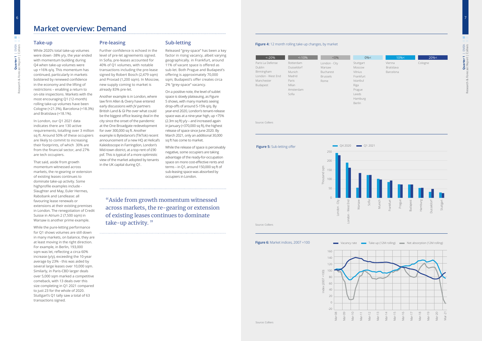## **Take-up**

While 2020's total take-up volumes were down -38% y/y, the year ended with momentum building during Q4 when take-up volumes were up +16% q/q. This momentum has continued, particularly in markets bolstered by renewed confidence in the economy and the lifting of restrictions – enabling a return to on-site inspections. Markets with the most encouraging Q1 (12-month) rolling take-up volumes have been Cologne (+21.3%), Barcelona (+18.3%) and Bratislava (+18.1%).

In London, our Q1 2021 data indicates there are 130 active requirements, totalling over 3 million for over 300,000 sq ft. Another sq ft. Around 50% of these occupiers are likely to commit to increasing their footprints, of which 30% are from the financial sector, and 27% are tech occupiers.

That said, aside from growth momentum witnessed across markets, the re-gearing or extension of existing leases continues to dominate take-up activity. Some highprofile examples include - Slaughter and May, Euler Hermes, Rabobank and Lendlease: all favouring lease renewals or extensions at their existing premises in London. The renegotiation of Credit Suisse in Atrium 2 (7,500 sqm) in Warsaw is another prime example.

While the pure-letting performance for Q1 shows volumes are still down in many markets, on balance, they are at least moving in the right direction. For example, in Berlin, 193,000 sqm was let, reflecting a circa 60% increase (y/y), exceeding the 10-year average by 23% - this was aided by several large leases over 10,000 sqm. Similarly, in Paris-CBD larger deals over 5,000 sqm marked a competitive comeback, with 13 deals over this size completing in Q1 2021 compared to just 23 for the whole of 2020. Stuttgart's Q1 tally saw a total of 63 transactions signed.

## **Pre-leasing**

Further confidence is echoed in the level of pre-let agreements signed. In Sofia, pre-leases accounted for 40% of Q1 volumes, with notable transactions including the pre-lease signed by Robert Bosch (2,479 sqm) and Proxiad (1,200 sqm). In Moscow, new supply coming to market is already 83% pre-let.

Birmingham  $\Box$  $P<sub>c</sub>$ 

Л

Another example is in London, where law firm Allen & Overy have entered early discussions with JV partners British Land & GI Pte over what could be the biggest office leasing deal in the city since the onset of the pandemic at the One Broadgate redevelopment example is Bytedance's (TikTok) recent announcement of a new HQ at Helical's Kaleidoscope in Farringdon, London's Mid-town district, at a top rent of £90 psf. This is typical of a more optimistic view of the market adopted by tenants in the UK capital during Q1.

# **Sub-letting**

Released "grey-space" has been a key factor in rising vacancy, albeit varying geographically. in Frankfurt, around 11% of vacant space is offered as sub-let. Both Prague and Budapest's offering is approximately 70,000 sqm; Budapest's offer creates circa 2% "grey-space" vacancy.

On a positive note, the level of sublet space is slowly plateauing, as Figure 5 shows, with many markets seeing drop-offs of around 5-15% q/q. By year-end 2020, London's tenant-release space was at a nine-year high, up +75% (2.3m sq ft)  $y/y -$  and increased again in January (+370,000 sq ft), the highest release of space since June 2020. By March 2021, only an additional 30,000 sq ft has come to market.

While the release of space is perceivably negative, some occupiers are taking advantage of the ready-for-occupation space on more cost-effective rents and terms – in Q1, around 150,000 sq ft of sub-leasing space was absorbed by occupiers in London.

7

6

#### **Figure 4:** 12 month rolling take-up changes, by market

Source: Colliers

Source: Colliers

#### **Figure 6:** Market indices, 2007 =100

# **Market overview: Demand**





| $< -20%$          | < 10%      | $< 0\%$         | $0\% <$   | 10% <             | 20%<    |
|-------------------|------------|-----------------|-----------|-------------------|---------|
| Paris La Defense  | Rotterdam  | London - City   | Stuttgart | Vienna            | Cologne |
| <b>Dublin</b>     | Dusseldorf | Warsaw          | Moscow    | <b>Bratislava</b> |         |
| <b>Birmingham</b> | Munich     | Bucharest       | Vilnius   | Barcelona         |         |
| London - West End | Madrid     | <b>Brussels</b> | Frankfurt |                   |         |
| Manchester        | Paris      | Rome            | Istanbul  |                   |         |
| <b>Budapest</b>   | Milan      |                 | Riga      |                   |         |
|                   | Amsterdam  |                 | Prague    |                   |         |
|                   | Sofia      |                 | Leeds     |                   |         |
|                   |            |                 | Hamburg   |                   |         |

"Aside from growth momentum witnessed across markets, the re-gearing or extension of existing leases continues to dominate take-up activity. "

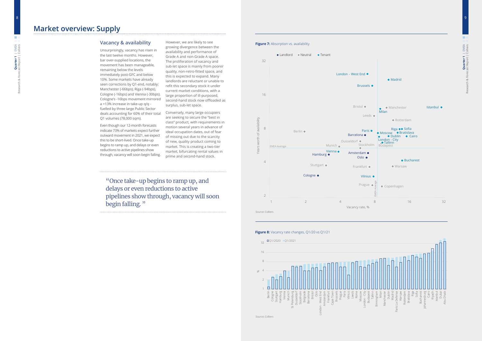**Quarter 1** | EMEA

**Quarter 1** | EMEA<br>ist Report | Colliers

Research & Forecast Report | Colliers

9

**Figure 7:** Absorption vs. availability



#### **Figure 8:** Vacancy rate changes, Q1/20 vs Q1/21

"Once take-up begins to ramp up, and delays or even reductions to active pipelines show through, vacancy will soon begin falling."

# **Vacancy & availability**

Unsurprisingly, vacancy has risen in the last twelve months. However, bar over-supplied locations, the movement has been manageable, remaining below the levels immediately post-GFC and below 10%. Some markets have already seen corrections by Q1-end, notably: Manchester (-66bps), Riga (-94bps), Cologne (-16bps) and Vienna (-30bps). Cologne's -16bps movement mirrored a +13% increase in take-up q/q fuelled by three large Public Sector deals accounting for 60% of their total Q1 volumes (78,000 sqm).

Even though our 12-month forecasts indicate 73% of markets expect further outward movement in 2021, we expect this to be short-lived. Once take-up begins to ramp up, and delays or even reductions to active pipelines show through, vacancy will soon begin falling. However, we are likely to see growing divergence between the availability and performance of Grade A and non-Grade A space. The proliferation of vacancy and sub-let space is mainly from poorer quality, non-retro-fitted space, and this is expected to expand. Many landlords are reluctant or unable to refit this secondary stock it under current market conditions, with a large proportion of ill-purposed, second-hand stock now offloaded as surplus, sub-let space.



Conversely, many large occupiers are seeking to secure the "best in class" product, with requirements in motion several years in advance of ideal occupation dates, out of fear of missing out due to the scarcity of new, quality product coming to market. This is creating a two-tier market, bifurcating rental values in prime and second-hand stock.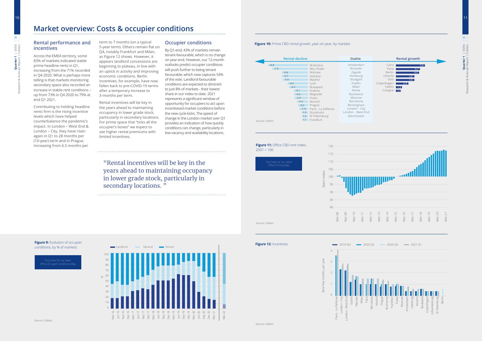10

Research & Forecast Report | Colliers **Quarter 1** | EMEA<br>ast Report | Colliers **Quarter 1** | EMEA

"Rental incentives will be key in the years ahead to maintaining occupancy in lower grade stock, particularly in secondary locations."

**Figure 10:** Prime CBD rental growth, year-on-year, by markets

# **Market overview: Costs & occupier conditions**

## **Rental performance and incentives**

Across the EMEA territory, some 83% of markets indicated stable prime headline rents in Q1, increasing from the 71% recorded in Q4 2020. What is perhaps more telling is that markets monitoring secondary space also recorded an increase in stable rent conditions – up from 73% in Q4 2020 to 79% at end Q1 2021.

Contributing to holding headline rents firm is the rising incentive levels which have helped counterbalance the pandemic's impact. In London – West End & London – City, they have risen again in Q1 to 28 months per (10-year) term and in Prague, increasing from 6.5 months per

term to 7 months (on a typical 5-year term). Others remain flat on Q4, notably Frankfurt and Milan, as Figure 12 shows. However, it appears landlord concessions are beginning to plateau, in line with an uptick in activity and improving economic conditions. Berlin incentives, for example, have now fallen back to pre-COVID-19 terms after a temporary increase to 3-months per term.

Rental incentives will be key in the years ahead to maintaining occupancy in lower grade stock, particularly in secondary locations. For prime space that "ticks all the occupier's boxes" we expect to see higher rental premiums with limited incentives.

# **Occupier conditions**

By Q1-end, 43% of markets remain tenant-favourable, which is no change on year-end. However, our 12-month outlooks predict occupier conditions will push further to being tenant favourable, which now captures 54% of the vote. Landlord-favourable conditions are expected to diminish to just 8% of markets - their lowest share in our index to date. 2021 represents a significant window of opportunity for occupiers to act upon incentivised market conditions before the new cycle kicks. The speed of change in the London market over Q1 provides an indication of how quickly conditions can change, particularly in low vacancy and availability locations.

Source: Colliers







**Figure 9:** Evolution of occupier conditions, by % of markets



|                  | Stable                                         |                                                                                   |                                                                                                                                                             |                                                                                                                                                              |
|------------------|------------------------------------------------|-----------------------------------------------------------------------------------|-------------------------------------------------------------------------------------------------------------------------------------------------------------|--------------------------------------------------------------------------------------------------------------------------------------------------------------|
| $-8.8$<br>$-7.9$ | $-5.8$<br>$-5.7$<br>$-5.6$<br>$-4.5$<br>$-4.2$ | <b>Rental decline</b><br>$-3.1$<br>$-3.0$<br>$-2.9$<br>$-2.4$<br>$-2.2$<br>$-1.9$ | <b>Bratislava</b><br>Abu Dhabi<br>Warsaw<br>Istanbul<br>Madrid<br>Lyon<br>Budapest<br>Krakow<br>Belgrade<br>Porto<br>Munich<br>Prague<br>Paris - La Défense | Amsterdam<br><b>Brussels</b><br>Zagreb<br>Hamburg<br>Stuttgart<br>Dublin<br>Milan<br>Rome<br>Bucharest<br>Moscow<br>Barcelona<br>Birmingham<br>London - City |
| Source: Colliers |                                                |                                                                                   | -1.3 Stockholm<br>-1.2 St Petersburg<br>-1.1 Frankfurt                                                                                                      | London - West E<br>Manchester                                                                                                                                |

Click here for our latest